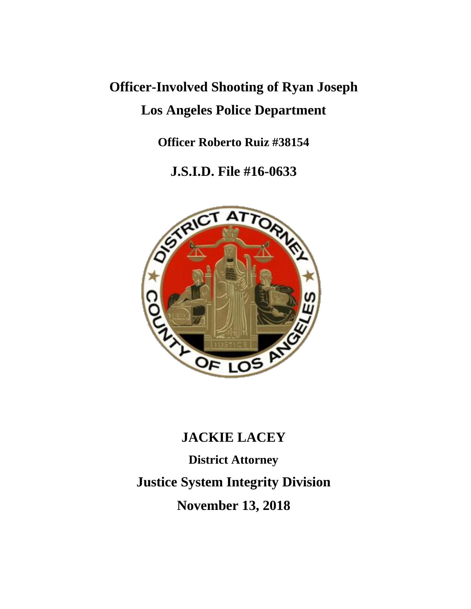## **Officer-Involved Shooting of Ryan Joseph Los Angeles Police Department**

**Officer Roberto Ruiz #38154**

**J.S.I.D. File #16-0633**



### **JACKIE LACEY**

**District Attorney Justice System Integrity Division November 13, 2018**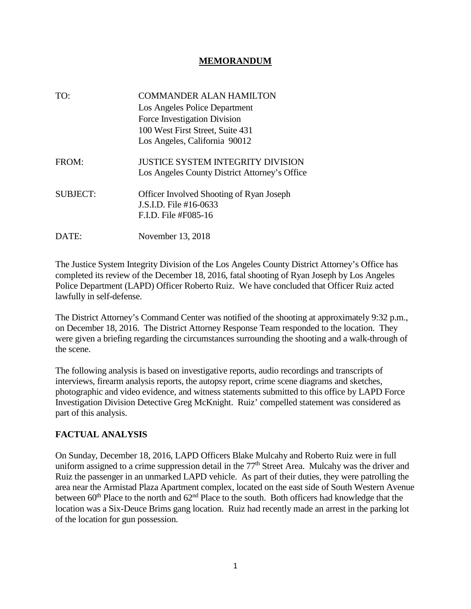### **MEMORANDUM**

| TO:             | <b>COMMANDER ALAN HAMILTON</b><br>Los Angeles Police Department<br>Force Investigation Division<br>100 West First Street, Suite 431<br>Los Angeles, California 90012 |
|-----------------|----------------------------------------------------------------------------------------------------------------------------------------------------------------------|
| FROM:           | JUSTICE SYSTEM INTEGRITY DIVISION<br>Los Angeles County District Attorney's Office                                                                                   |
| <b>SUBJECT:</b> | <b>Officer Involved Shooting of Ryan Joseph</b><br>J.S.I.D. File #16-0633<br>F.I.D. File #F085-16                                                                    |
| DATE:           | November 13, 2018                                                                                                                                                    |

The Justice System Integrity Division of the Los Angeles County District Attorney's Office has completed its review of the December 18, 2016, fatal shooting of Ryan Joseph by Los Angeles Police Department (LAPD) Officer Roberto Ruiz. We have concluded that Officer Ruiz acted lawfully in self-defense.

The District Attorney's Command Center was notified of the shooting at approximately 9:32 p.m., on December 18, 2016. The District Attorney Response Team responded to the location. They were given a briefing regarding the circumstances surrounding the shooting and a walk-through of the scene.

The following analysis is based on investigative reports, audio recordings and transcripts of interviews, firearm analysis reports, the autopsy report, crime scene diagrams and sketches, photographic and video evidence, and witness statements submitted to this office by LAPD Force Investigation Division Detective Greg McKnight. Ruiz' compelled statement was considered as part of this analysis.

#### **FACTUAL ANALYSIS**

On Sunday, December 18, 2016, LAPD Officers Blake Mulcahy and Roberto Ruiz were in full uniform assigned to a crime suppression detail in the  $77<sup>th</sup>$  Street Area. Mulcahy was the driver and Ruiz the passenger in an unmarked LAPD vehicle. As part of their duties, they were patrolling the area near the Armistad Plaza Apartment complex, located on the east side of South Western Avenue between  $60<sup>th</sup>$  Place to the north and  $62<sup>nd</sup>$  Place to the south. Both officers had knowledge that the location was a Six-Deuce Brims gang location. Ruiz had recently made an arrest in the parking lot of the location for gun possession.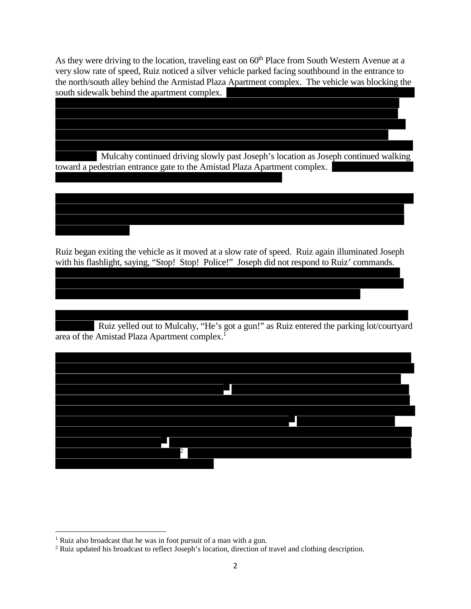As they were driving to the location, traveling east on 60<sup>th</sup> Place from South Western Avenue at a very slow rate of speed, Ruiz noticed a silver vehicle parked facing southbound in the entrance to the north/south alley behind the Armistad Plaza Apartment complex. The vehicle was blocking the south sidewalk behind the apartment complex.

Mulcahy continued driving slowly past Joseph's location as Joseph continued walking toward a pedestrian entrance gate to the Amistad Plaza Apartment complex.

Ruiz began exiting the vehicle as it moved at a slow rate of speed. Ruiz again illuminated Joseph with his flashlight, saying, "Stop! Stop! Police!" Joseph did not respond to Ruiz' commands.

Ruiz yelled out to Mulcahy, "He's got a gun!" as Ruiz entered the parking lot/courtyard area of the Amistad Plaza Apartment complex.<sup>1</sup>



<sup>&</sup>lt;sup>1</sup> Ruiz also broadcast that he was in foot pursuit of a man with a gun.

<sup>2</sup> Ruiz updated his broadcast to reflect Joseph's location, direction of travel and clothing description.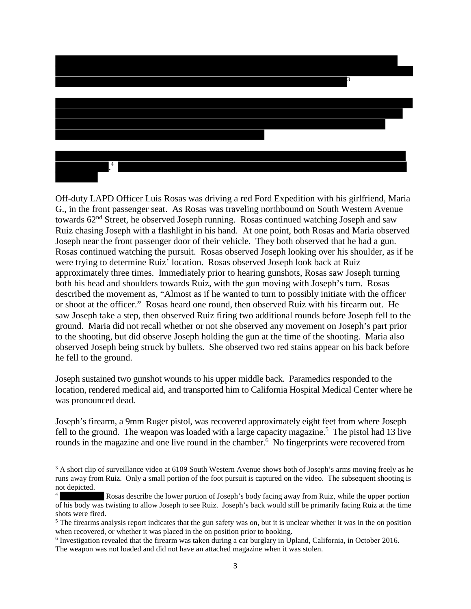# 3 . 4

Off-duty LAPD Officer Luis Rosas was driving a red Ford Expedition with his girlfriend, Maria G., in the front passenger seat. As Rosas was traveling northbound on South Western Avenue towards 62<sup>nd</sup> Street, he observed Joseph running. Rosas continued watching Joseph and saw Ruiz chasing Joseph with a flashlight in his hand. At one point, both Rosas and Maria observed Joseph near the front passenger door of their vehicle. They both observed that he had a gun. Rosas continued watching the pursuit. Rosas observed Joseph looking over his shoulder, as if he were trying to determine Ruiz' location. Rosas observed Joseph look back at Ruiz approximately three times. Immediately prior to hearing gunshots, Rosas saw Joseph turning both his head and shoulders towards Ruiz, with the gun moving with Joseph's turn. Rosas described the movement as, "Almost as if he wanted to turn to possibly initiate with the officer or shoot at the officer." Rosas heard one round, then observed Ruiz with his firearm out. He saw Joseph take a step, then observed Ruiz firing two additional rounds before Joseph fell to the ground. Maria did not recall whether or not she observed any movement on Joseph's part prior to the shooting, but did observe Joseph holding the gun at the time of the shooting. Maria also observed Joseph being struck by bullets. She observed two red stains appear on his back before he fell to the ground.

Joseph sustained two gunshot wounds to his upper middle back. Paramedics responded to the location, rendered medical aid, and transported him to California Hospital Medical Center where he was pronounced dead.

Joseph's firearm, a 9mm Ruger pistol, was recovered approximately eight feet from where Joseph fell to the ground. The weapon was loaded with a large capacity magazine.<sup>5</sup> The pistol had 13 live rounds in the magazine and one live round in the chamber.<sup>6</sup> No fingerprints were recovered from

<sup>&</sup>lt;sup>3</sup> A short clip of surveillance video at 6109 South Western Avenue shows both of Joseph's arms moving freely as he runs away from Ruiz. Only a small portion of the foot pursuit is captured on the video. The subsequent shooting is not depicted.

<sup>4</sup> Rosas describe the lower portion of Joseph's body facing away from Ruiz, while the upper portion of his body was twisting to allow Joseph to see Ruiz. Joseph's back would still be primarily facing Ruiz at the time shots were fired.

<sup>&</sup>lt;sup>5</sup> The firearms analysis report indicates that the gun safety was on, but it is unclear whether it was in the on position when recovered, or whether it was placed in the on position prior to booking.

<sup>&</sup>lt;sup>6</sup> Investigation revealed that the firearm was taken during a car burglary in Upland, California, in October 2016. The weapon was not loaded and did not have an attached magazine when it was stolen.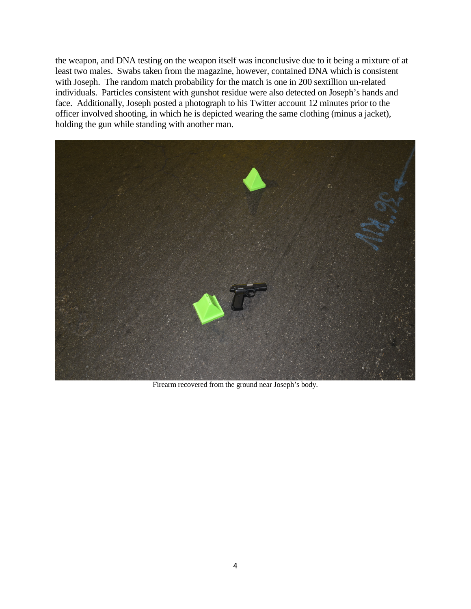the weapon, and DNA testing on the weapon itself was inconclusive due to it being a mixture of at least two males. Swabs taken from the magazine, however, contained DNA which is consistent with Joseph. The random match probability for the match is one in 200 sextillion un-related individuals. Particles consistent with gunshot residue were also detected on Joseph's hands and face. Additionally, Joseph posted a photograph to his Twitter account 12 minutes prior to the officer involved shooting, in which he is depicted wearing the same clothing (minus a jacket), holding the gun while standing with another man.



Firearm recovered from the ground near Joseph's body.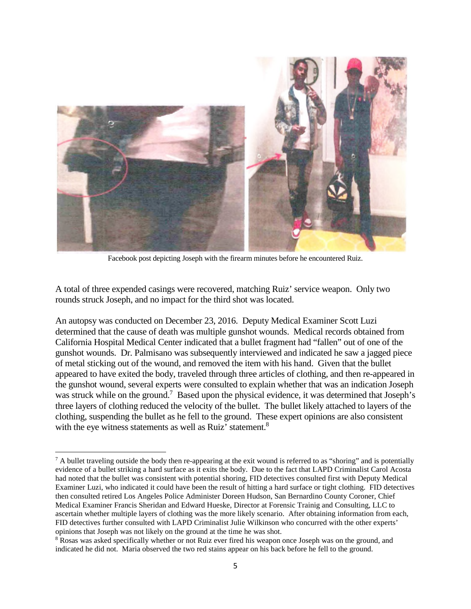

Facebook post depicting Joseph with the firearm minutes before he encountered Ruiz.

A total of three expended casings were recovered, matching Ruiz' service weapon. Only two rounds struck Joseph, and no impact for the third shot was located.

An autopsy was conducted on December 23, 2016. Deputy Medical Examiner Scott Luzi determined that the cause of death was multiple gunshot wounds. Medical records obtained from California Hospital Medical Center indicated that a bullet fragment had "fallen" out of one of the gunshot wounds. Dr. Palmisano was subsequently interviewed and indicated he saw a jagged piece of metal sticking out of the wound, and removed the item with his hand. Given that the bullet appeared to have exited the body, traveled through three articles of clothing, and then re-appeared in the gunshot wound, several experts were consulted to explain whether that was an indication Joseph was struck while on the ground.<sup>7</sup> Based upon the physical evidence, it was determined that Joseph's three layers of clothing reduced the velocity of the bullet. The bullet likely attached to layers of the clothing, suspending the bullet as he fell to the ground. These expert opinions are also consistent with the eye witness statements as well as Ruiz' statement.<sup>8</sup>

 $^7$  A bullet traveling outside the body then re-appearing at the exit wound is referred to as "shoring" and is potentially evidence of a bullet striking a hard surface as it exits the body. Due to the fact that LAPD Criminalist Carol Acosta had noted that the bullet was consistent with potential shoring, FID detectives consulted first with Deputy Medical Examiner Luzi, who indicated it could have been the result of hitting a hard surface or tight clothing. FID detectives then consulted retired Los Angeles Police Administer Doreen Hudson, San Bernardino County Coroner, Chief Medical Examiner Francis Sheridan and Edward Hueske, Director at Forensic Trainig and Consulting, LLC to ascertain whether multiple layers of clothing was the more likely scenario. After obtaining information from each, FID detectives further consulted with LAPD Criminalist Julie Wilkinson who concurred with the other experts' opinions that Joseph was not likely on the ground at the time he was shot.

<sup>8</sup> Rosas was asked specifically whether or not Ruiz ever fired his weapon once Joseph was on the ground, and indicated he did not. Maria observed the two red stains appear on his back before he fell to the ground.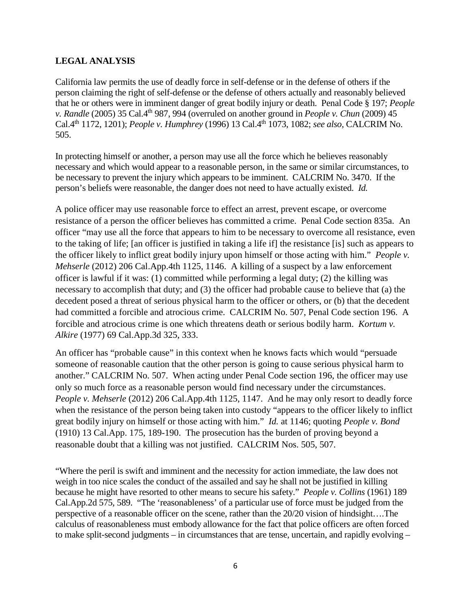### **LEGAL ANALYSIS**

California law permits the use of deadly force in self-defense or in the defense of others if the person claiming the right of self-defense or the defense of others actually and reasonably believed that he or others were in imminent danger of great bodily injury or death. Penal Code § 197; *People v. Randle* (2005) 35 Cal.4th 987, 994 (overruled on another ground in *People v. Chun* (2009) 45 Cal.4th 1172, 1201); *People v. Humphrey* (1996) 13 Cal.4th 1073, 1082; *see also,* CALCRIM No. 505.

In protecting himself or another, a person may use all the force which he believes reasonably necessary and which would appear to a reasonable person, in the same or similar circumstances, to be necessary to prevent the injury which appears to be imminent. CALCRIM No. 3470. If the person's beliefs were reasonable, the danger does not need to have actually existed. *Id.*

A police officer may use reasonable force to effect an arrest, prevent escape, or overcome resistance of a person the officer believes has committed a crime. Penal Code section 835a. An officer "may use all the force that appears to him to be necessary to overcome all resistance, even to the taking of life; [an officer is justified in taking a life if] the resistance [is] such as appears to the officer likely to inflict great bodily injury upon himself or those acting with him." *People v. Mehserle* (2012) 206 Cal.App.4th 1125, 1146. A killing of a suspect by a law enforcement officer is lawful if it was: (1) committed while performing a legal duty; (2) the killing was necessary to accomplish that duty; and (3) the officer had probable cause to believe that (a) the decedent posed a threat of serious physical harm to the officer or others, or (b) that the decedent had committed a forcible and atrocious crime. CALCRIM No. 507, Penal Code section 196. A forcible and atrocious crime is one which threatens death or serious bodily harm. *Kortum v. Alkire* (1977) 69 Cal.App.3d 325, 333.

An officer has "probable cause" in this context when he knows facts which would "persuade someone of reasonable caution that the other person is going to cause serious physical harm to another." CALCRIM No. 507. When acting under Penal Code section 196, the officer may use only so much force as a reasonable person would find necessary under the circumstances. *People v. Mehserle* (2012) 206 Cal.App.4th 1125, 1147. And he may only resort to deadly force when the resistance of the person being taken into custody "appears to the officer likely to inflict great bodily injury on himself or those acting with him." *Id.* at 1146; quoting *People v. Bond* (1910) 13 Cal.App. 175, 189-190. The prosecution has the burden of proving beyond a reasonable doubt that a killing was not justified. CALCRIM Nos. 505, 507.

"Where the peril is swift and imminent and the necessity for action immediate, the law does not weigh in too nice scales the conduct of the assailed and say he shall not be justified in killing because he might have resorted to other means to secure his safety." *People v. Collins* (1961) 189 Cal.App.2d 575, 589. "The 'reasonableness' of a particular use of force must be judged from the perspective of a reasonable officer on the scene, rather than the 20/20 vision of hindsight….The calculus of reasonableness must embody allowance for the fact that police officers are often forced to make split-second judgments – in circumstances that are tense, uncertain, and rapidly evolving –